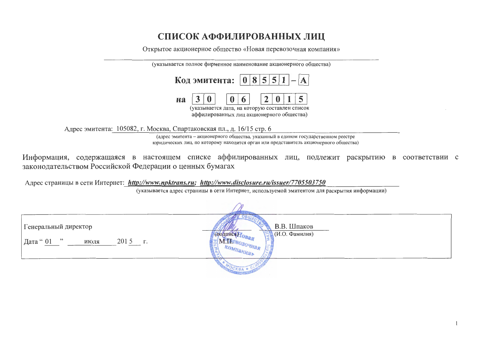## СПИСОК АФФИЛИРОВАННЫХ ЛИЦ

Открытое акционерное общество «Новая перевозочная компания»

| (указывается полное фирменное наименование акционерного общества) |  |                                                                                             |          |                             |  |  |
|-------------------------------------------------------------------|--|---------------------------------------------------------------------------------------------|----------|-----------------------------|--|--|
|                                                                   |  | Код эмитента: $ 0 8 5 5 1 - A $                                                             |          |                             |  |  |
| <b>H<sub>a</sub></b>                                              |  | $\vert 0 \vert$                                                                             | $6 \mid$ | $\mid 2 \mid 0 \mid 1 \mid$ |  |  |
|                                                                   |  | (указывается дата, на которую составлен список<br>аффилированных лиц акционерного общества) |          |                             |  |  |

Адрес эмитента: 105082, г. Москва, Спартаковская пл., д. 16/15 стр. 6

(адрес эмитента - акционерного общества, указанный в едином государственном реестре юридических лиц, по которому находится орган или представитель акционерного общества)

Информация, содержащаяся в настоящем списке аффилированных лиц, подлежит раскрытию в соответствии с законодательством Российской Федерации о ценных бумагах

Адрес страницы в сети Интернет: http://www.npktrans.ru; http://www.disclosure.ru/issuer/7705503750

(указывается адрес страницы в сети Интернет, используемой эмитентом для раскрытия информации)

| Генеральный директор<br>$\overline{\phantom{1}}$<br>2015 r.<br>  Дата <b>"</b> 01<br>июля | В.В. Шпаков<br>(И.О. Фамилия) |
|-------------------------------------------------------------------------------------------|-------------------------------|
|                                                                                           |                               |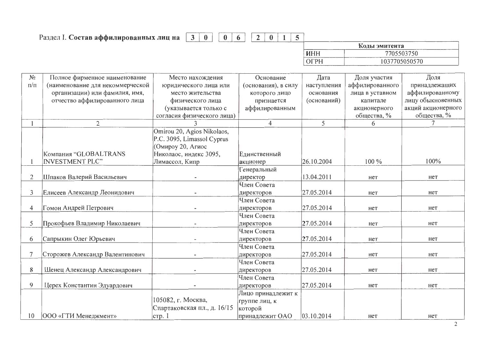## 0 6 2 0 1 5 Раздел І. Состав аффилированных лиц на  $\boxed{3}$  0

|     | Коды эмитента |
|-----|---------------|
| инн | 7705503750    |
|     | 1037705050570 |

| $N_2$     | Полное фирменное наименование    | Место нахождения            | Основание           | Дата        | Доля участия    | Доля               |
|-----------|----------------------------------|-----------------------------|---------------------|-------------|-----------------|--------------------|
| $\Pi/\Pi$ | (наименование для некоммерческой | юридического лица или       | (основания), в силу | наступления | аффилированного | принадлежащих      |
|           | организации) или фамилия, имя,   | место жительства            | которого лицо       | основания   | лица в уставном | аффилированному    |
|           | отчество аффилированного лица    | физического лица            | признается          | (оснований) | капитале        | лицу обыкновенных  |
|           |                                  | (указывается только с       | аффилированным      |             | акционерного    | акций акционерного |
|           |                                  | согласия физического лица)  |                     |             | общества, %     | общества, %        |
|           | $\overline{2}$                   |                             | 4                   | 5           | 6               |                    |
|           |                                  | Omirou 20, Agios Nikolaos,  |                     |             |                 |                    |
|           |                                  | P.C. 3095, Limassol Cyprus  |                     |             |                 |                    |
|           |                                  | (Омироу 20, Агиос           |                     |             |                 |                    |
|           | Компания "GLOBALTRANS            | Николаос, индекс 3095,      | Единственный        |             |                 |                    |
|           | <b>INVESTMENT PLC"</b>           | Лимассол, Кипр              | акционер            | 26.10.2004  | 100 %           | 100%               |
|           |                                  |                             | Генеральный         |             |                 |                    |
| 2         | Шпаков Валерий Васильевич        |                             | директор            | 13.04.2011  | нет             | нет                |
|           |                                  |                             | Член Совета         |             |                 |                    |
| 3         | Елисеев Александр Леонидович     |                             | директоров          | 27.05.2014  | нет             | нет                |
|           |                                  |                             | Член Совета         |             |                 |                    |
| 4         | Гомон Андрей Петрович            |                             | директоров          | 27.05.2014  | нет             | нет                |
|           |                                  |                             | Член Совета         |             |                 |                    |
| 5         | Прокофьев Владимир Николаевич    |                             | директоров          | 27.05.2014  | нет             | нет                |
|           |                                  |                             | Член Совета         |             |                 |                    |
| 6         | Сапрыкин Олег Юрьевич            |                             | директоров          | 27.05.2014  | нет             | нет                |
|           |                                  |                             | Член Совета         |             |                 |                    |
|           | Сторожев Александр Валентинович  |                             | директоров          | 27.05.2014  | нет             | нет                |
|           |                                  |                             | Член Совета         |             |                 |                    |
| 8         | Шенец Александр Александрович    |                             | директоров          | 27.05.2014  | нет             | нет                |
|           |                                  |                             | Член Совета         |             |                 |                    |
| 9         | Церех Константин Эдуардович      |                             | директоров          | 27.05.2014  | Het             | нет                |
|           |                                  |                             | Лицо принадлежит к  |             |                 |                    |
|           |                                  | 105082, г. Москва,          | группе лиц, к       |             |                 |                    |
|           |                                  | Спартаковская пл., д. 16/15 | которой             |             |                 |                    |
| 10        | <b>ООО «ГТИ Менеджмент»</b>      | crp.1                       | принадлежит ОАО     | 03.10.2014  | нет             | Het                |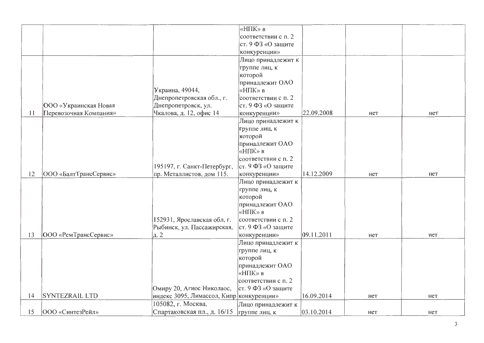|    |                              |                                          | «НПК» в             |            |     |     |
|----|------------------------------|------------------------------------------|---------------------|------------|-----|-----|
|    |                              |                                          | соответствии с п. 2 |            |     |     |
|    |                              |                                          | ст. 9 ФЗ «О защите  |            |     |     |
|    |                              |                                          |                     |            |     |     |
|    |                              |                                          | конкуренции»        |            |     |     |
|    |                              |                                          | Лицо принадлежит к  |            |     |     |
|    |                              |                                          | группе лиц, к       |            |     |     |
|    |                              |                                          | которой             |            |     |     |
|    |                              |                                          | принадлежит ОАО     |            |     |     |
|    |                              | Украина, 49044,                          | «НПК» в             |            |     |     |
|    |                              | Днепропетровская обл., г.                | соответствии с п. 2 |            |     |     |
|    | <b>ООО</b> «Украинская Новая | Днепропетровск, ул.                      | ст. 9 ФЗ «О защите  |            |     |     |
| 11 | Перевозочная Компания»       | Чкалова, д. 12, офис 14                  | конкуренции»        | 22.09.2008 | нет | нет |
|    |                              |                                          | Лицо принадлежит к  |            |     |     |
|    |                              |                                          | группе лиц, к       |            |     |     |
|    |                              |                                          | которой             |            |     |     |
|    |                              |                                          | принадлежит ОАО     |            |     |     |
|    |                              |                                          | «НПК» в             |            |     |     |
|    |                              |                                          | соответствии с п. 2 |            |     |     |
|    |                              | 195197, г. Санкт-Петербург,              | ст. 9 ФЗ «О защите  |            |     |     |
| 12 | ООО «БалтТрансСервис»        | пр. Металлистов, дом 115.                | конкуренции»        | 14.12.2009 | нет | нет |
|    |                              |                                          | Лицо принадлежит к  |            |     |     |
|    |                              |                                          | группе лиц, к       |            |     |     |
|    |                              |                                          | которой             |            |     |     |
|    |                              |                                          | принадлежит ОАО     |            |     |     |
|    |                              |                                          | «НПК» в             |            |     |     |
|    |                              | 152931, Ярославская обл, г.              | соответствии с п. 2 |            |     |     |
|    |                              | Рыбинск, ул. Пассажирская,               | ст. 9 ФЗ «О защите  |            |     |     |
| 13 | <b>ООО</b> «РемТрансСервис»  | д. 2                                     | конкуренции»        | 09.11.2011 | нет | нет |
|    |                              |                                          | Лицо принадлежит к  |            |     |     |
|    |                              |                                          | группе лиц, к       |            |     |     |
|    |                              |                                          | которой             |            |     |     |
|    |                              |                                          | принадлежит ОАО     |            |     |     |
|    |                              |                                          | «НПК» в             |            |     |     |
|    |                              |                                          | соответствии с п. 2 |            |     |     |
|    |                              | Омиру 20, Агиос Николаос,                | ст. 9 ФЗ «О защите  |            |     |     |
| 14 | <b>SYNTEZRAIL LTD</b>        | индекс 3095, Лимассол, Кипр конкуренции» |                     | 16.09.2014 | нет | нет |
|    |                              | 105082, г. Москва,                       | Лицо принадлежит к  |            |     |     |
| 15 | ООО «СинтезРейл»             | Спартаковская пл., д. 16/15              | группе лиц, к       | 03.10.2014 | нет | нет |
|    |                              |                                          |                     |            |     |     |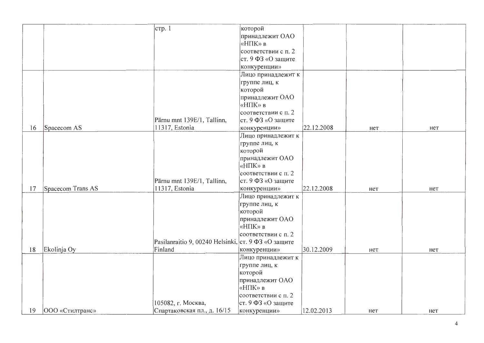|    |                   | стр. 1                                              | которой             |            |     |     |
|----|-------------------|-----------------------------------------------------|---------------------|------------|-----|-----|
|    |                   |                                                     | принадлежит ОАО     |            |     |     |
|    |                   |                                                     | «НПК» в             |            |     |     |
|    |                   |                                                     |                     |            |     |     |
|    |                   |                                                     | соответствии с п. 2 |            |     |     |
|    |                   |                                                     | ст. 9 ФЗ «О защите  |            |     |     |
|    |                   |                                                     | конкуренции»        |            |     |     |
|    |                   |                                                     | Лицо принадлежит к  |            |     |     |
|    |                   |                                                     | группе лиц, к       |            |     |     |
|    |                   |                                                     | которой             |            |     |     |
|    |                   |                                                     | принадлежит ОАО     |            |     |     |
|    |                   |                                                     | «НПК» в             |            |     |     |
|    |                   |                                                     | соответствии с п. 2 |            |     |     |
|    |                   | Pärnu mnt 139E/1, Tallinn,                          | ст. 9 ФЗ «О защите  |            |     |     |
| 16 | Spacecom AS       | 11317, Estonia                                      | конкуренции»        | 22.12.2008 | нет | нет |
|    |                   |                                                     | Лицо принадлежит к  |            |     |     |
|    |                   |                                                     | группе лиц, к       |            |     |     |
|    |                   |                                                     | которой             |            |     |     |
|    |                   |                                                     | принадлежит ОАО     |            |     |     |
|    |                   |                                                     | «НПК» в             |            |     |     |
|    |                   |                                                     | соответствии с п. 2 |            |     |     |
|    |                   | Pärnu mnt 139E/1, Tallinn,                          | ст. 9 ФЗ «О защите  |            |     |     |
| 17 | Spacecom Trans AS | 11317, Estonia                                      | конкуренции»        | 22.12.2008 | нет | нет |
|    |                   |                                                     | Лицо принадлежит к  |            |     |     |
|    |                   |                                                     | группе лиц, к       |            |     |     |
|    |                   |                                                     | которой             |            |     |     |
|    |                   |                                                     | принадлежит ОАО     |            |     |     |
|    |                   |                                                     | «НПК» в             |            |     |     |
|    |                   |                                                     | соответствии с п. 2 |            |     |     |
|    |                   | Pasilanraitio 9, 00240 Helsinki, ст. 9 ФЗ «О защите |                     |            |     |     |
| 18 | Ekolinja Oy       | Finland                                             | конкуренции»        | 30.12.2009 | нет | нет |
|    |                   |                                                     | Лицо принадлежит к  |            |     |     |
|    |                   |                                                     | группе лиц, к       |            |     |     |
|    |                   |                                                     | которой             |            |     |     |
|    |                   |                                                     | принадлежит ОАО     |            |     |     |
|    |                   |                                                     | «НПК» в             |            |     |     |
|    |                   |                                                     | соответствии с п. 2 |            |     |     |
|    |                   | 105082, г. Москва,                                  | ст. 9 ФЗ «О защите  |            |     |     |
| 19 | 000 «Стилтранс»   | Спартаковская пл., д. 16/15                         | конкуренции»        | 12.02.2013 | нет | нет |